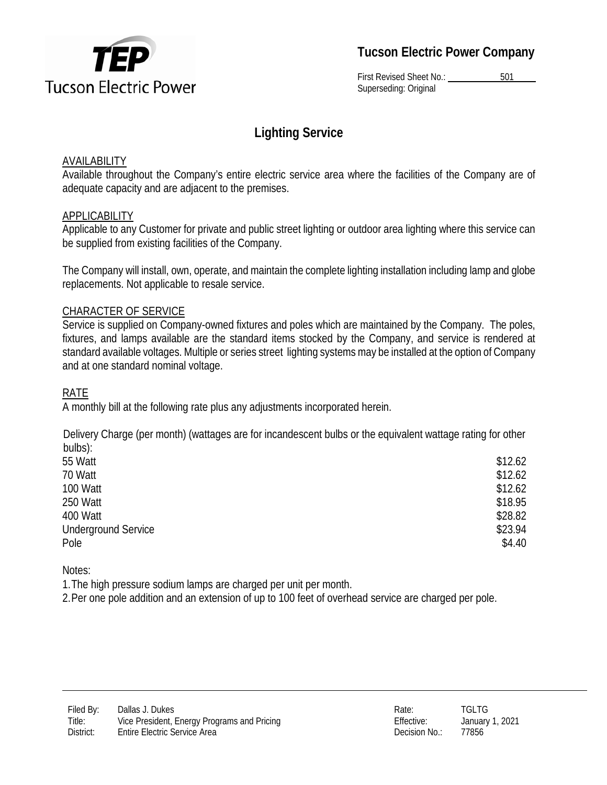

**Tucson Electric Power Company**

First Revised Sheet No.: 501 Superseding: Original

# **Lighting Service**

#### **AVAILABILITY**

Available throughout the Company's entire electric service area where the facilities of the Company are of adequate capacity and are adjacent to the premises.

### APPLICABILITY

Applicable to any Customer for private and public street lighting or outdoor area lighting where this service can be supplied from existing facilities of the Company.

The Company will install, own, operate, and maintain the complete lighting installation including lamp and globe replacements. Not applicable to resale service.

### CHARACTER OF SERVICE

Service is supplied on Company-owned fixtures and poles which are maintained by the Company. The poles, fixtures, and lamps available are the standard items stocked by the Company, and service is rendered at standard available voltages. Multiple or series street lighting systems may be installed at the option of Company and at one standard nominal voltage.

#### RATE

A monthly bill at the following rate plus any adjustments incorporated herein.

Delivery Charge (per month) (wattages are for incandescent bulbs or the equivalent wattage rating for other bulbs):

| \$12.62 |
|---------|
| \$12.62 |
| \$12.62 |
| \$18.95 |
| \$28.82 |
| \$23.94 |
| \$4.40  |
|         |

Notes:

1.The high pressure sodium lamps are charged per unit per month.

2.Per one pole addition and an extension of up to 100 feet of overhead service are charged per pole.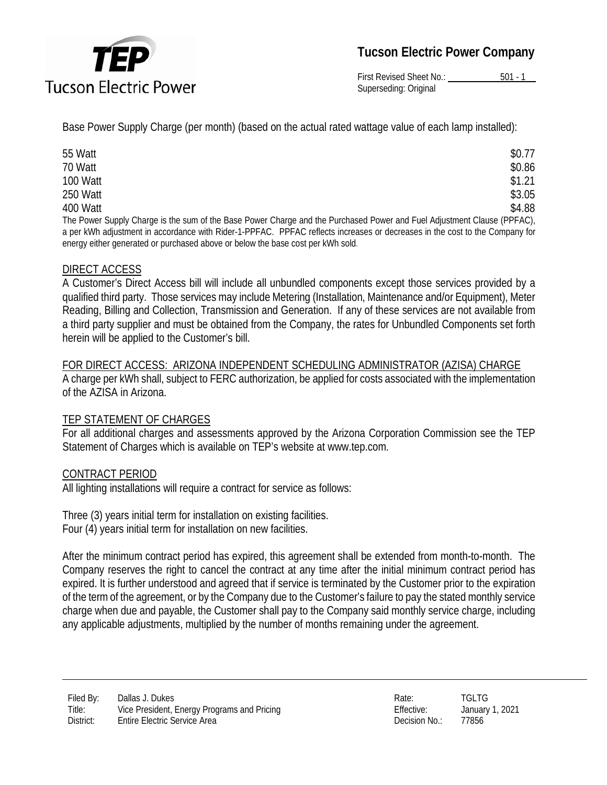

**Tucson Electric Power Company**

First Revised Sheet No.: 501 - 1 Superseding: Original

Base Power Supply Charge (per month) (based on the actual rated wattage value of each lamp installed):

| 55 Watt                                                                                                                     | \$0.77 |
|-----------------------------------------------------------------------------------------------------------------------------|--------|
| 70 Watt                                                                                                                     | \$0.86 |
| 100 Watt                                                                                                                    | \$1.21 |
| 250 Watt                                                                                                                    | \$3.05 |
| 400 Watt                                                                                                                    | \$4.88 |
| The Power Supply Charge is the sum of the Base Power Charge and the Purchased Power and Fuel Adjustment Clause (PPFAC),     |        |
| a per kWh adjustment in accordance with Rider-1-PPFAC. PPFAC reflects increases or decreases in the cost to the Company for |        |

## DIRECT ACCESS

A Customer's Direct Access bill will include all unbundled components except those services provided by a qualified third party. Those services may include Metering (Installation, Maintenance and/or Equipment), Meter Reading, Billing and Collection, Transmission and Generation. If any of these services are not available from a third party supplier and must be obtained from the Company, the rates for Unbundled Components set forth herein will be applied to the Customer's bill.

FOR DIRECT ACCESS: ARIZONA INDEPENDENT SCHEDULING ADMINISTRATOR (AZISA) CHARGE A charge per kWh shall, subject to FERC authorization, be applied for costs associated with the implementation of the AZISA in Arizona.

### TEP STATEMENT OF CHARGES

For all additional charges and assessments approved by the Arizona Corporation Commission see the TEP Statement of Charges which is available on TEP's website at www.tep.com.

### CONTRACT PERIOD

All lighting installations will require a contract for service as follows:

energy either generated or purchased above or below the base cost per kWh sold.

Three (3) years initial term for installation on existing facilities. Four (4) years initial term for installation on new facilities.

After the minimum contract period has expired, this agreement shall be extended from month-to-month. The Company reserves the right to cancel the contract at any time after the initial minimum contract period has expired. It is further understood and agreed that if service is terminated by the Customer prior to the expiration of the term of the agreement, or by the Company due to the Customer's failure to pay the stated monthly service charge when due and payable, the Customer shall pay to the Company said monthly service charge, including any applicable adjustments, multiplied by the number of months remaining under the agreement.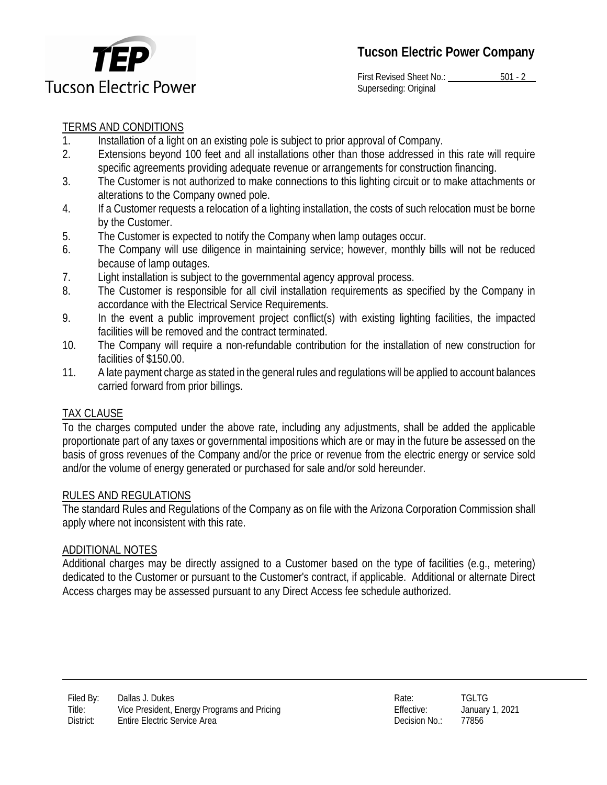

First Revised Sheet No.: 501 - 2 Superseding: Original

# TERMS AND CONDITIONS

- 1. Installation of a light on an existing pole is subject to prior approval of Company.
- 2. Extensions beyond 100 feet and all installations other than those addressed in this rate will require specific agreements providing adequate revenue or arrangements for construction financing.
- 3. The Customer is not authorized to make connections to this lighting circuit or to make attachments or alterations to the Company owned pole.
- 4. If a Customer requests a relocation of a lighting installation, the costs of such relocation must be borne by the Customer.
- 5. The Customer is expected to notify the Company when lamp outages occur.
- 6. The Company will use diligence in maintaining service; however, monthly bills will not be reduced because of lamp outages.
- 7. Light installation is subject to the governmental agency approval process.
- 8. The Customer is responsible for all civil installation requirements as specified by the Company in accordance with the Electrical Service Requirements.
- 9. In the event a public improvement project conflict(s) with existing lighting facilities, the impacted facilities will be removed and the contract terminated.
- 10. The Company will require a non-refundable contribution for the installation of new construction for facilities of \$150.00.
- 11. A late payment charge as stated in the general rules and regulations will be applied to account balances carried forward from prior billings.

### TAX CLAUSE

To the charges computed under the above rate, including any adjustments, shall be added the applicable proportionate part of any taxes or governmental impositions which are or may in the future be assessed on the basis of gross revenues of the Company and/or the price or revenue from the electric energy or service sold and/or the volume of energy generated or purchased for sale and/or sold hereunder.

### RULES AND REGULATIONS

The standard Rules and Regulations of the Company as on file with the Arizona Corporation Commission shall apply where not inconsistent with this rate.

#### ADDITIONAL NOTES

Additional charges may be directly assigned to a Customer based on the type of facilities (e.g., metering) dedicated to the Customer or pursuant to the Customer's contract, if applicable. Additional or alternate Direct Access charges may be assessed pursuant to any Direct Access fee schedule authorized.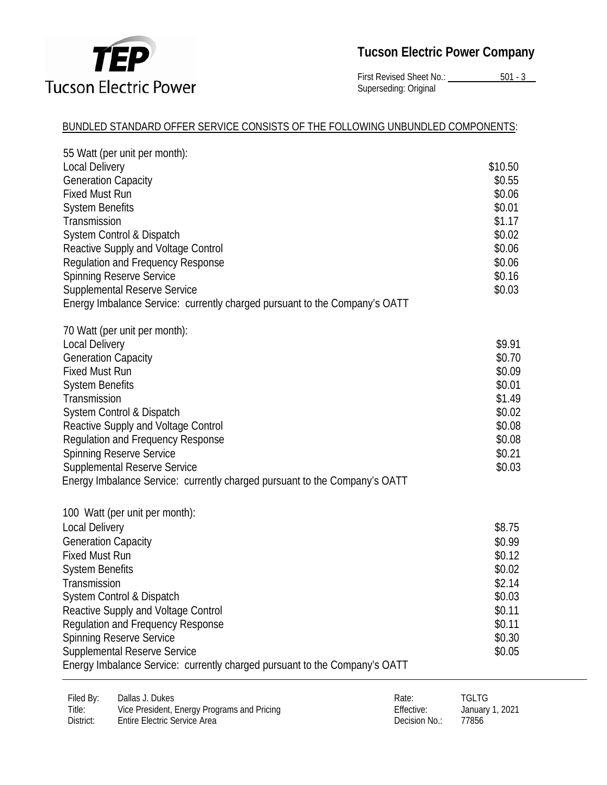

First Revised Sheet No.: 501 - 3 Superseding: Original

## BUNDLED STANDARD OFFER SERVICE CONSISTS OF THE FOLLOWING UNBUNDLED COMPONENTS:

| 55 Watt (per unit per month):                                              |         |
|----------------------------------------------------------------------------|---------|
| <b>Local Delivery</b>                                                      | \$10.50 |
| <b>Generation Capacity</b>                                                 | \$0.55  |
| <b>Fixed Must Run</b>                                                      | \$0.06  |
| <b>System Benefits</b>                                                     | \$0.01  |
| Transmission                                                               | \$1.17  |
| System Control & Dispatch                                                  | \$0.02  |
| Reactive Supply and Voltage Control                                        | \$0.06  |
| <b>Regulation and Frequency Response</b>                                   | \$0.06  |
| <b>Spinning Reserve Service</b>                                            | \$0.16  |
| <b>Supplemental Reserve Service</b>                                        | \$0.03  |
| Energy Imbalance Service: currently charged pursuant to the Company's OATT |         |
| 70 Watt (per unit per month):                                              |         |
| <b>Local Delivery</b>                                                      | \$9.91  |
| <b>Generation Capacity</b>                                                 | \$0.70  |
| <b>Fixed Must Run</b>                                                      | \$0.09  |
| <b>System Benefits</b>                                                     | \$0.01  |
| Transmission                                                               | \$1.49  |
| System Control & Dispatch                                                  | \$0.02  |
| Reactive Supply and Voltage Control                                        | \$0.08  |
| <b>Regulation and Frequency Response</b>                                   | \$0.08  |
| <b>Spinning Reserve Service</b>                                            | \$0.21  |
| <b>Supplemental Reserve Service</b>                                        | \$0.03  |
| Energy Imbalance Service: currently charged pursuant to the Company's OATT |         |
| 100 Watt (per unit per month):                                             |         |
| <b>Local Delivery</b>                                                      | \$8.75  |
| <b>Generation Capacity</b>                                                 | \$0.99  |
| <b>Fixed Must Run</b>                                                      | \$0.12  |
| <b>System Benefits</b>                                                     | \$0.02  |
| Transmission                                                               | \$2.14  |
| System Control & Dispatch                                                  | \$0.03  |
| Reactive Supply and Voltage Control                                        | \$0.11  |
| Regulation and Frequency Response                                          | \$0.11  |
| <b>Spinning Reserve Service</b>                                            | \$0.30  |
| <b>Supplemental Reserve Service</b>                                        | \$0.05  |
| Energy Imbalance Service: currently charged pursuant to the Company's OATT |         |
|                                                                            |         |

| Filed By: | Dallas J. Dukes                             | Rate:         | <b>TGLTG</b>    |
|-----------|---------------------------------------------|---------------|-----------------|
| Title:    | Vice President, Energy Programs and Pricing | Effective:    | January 1, 2021 |
| District: | <b>Entire Electric Service Area</b>         | Decision No.: | 77856           |